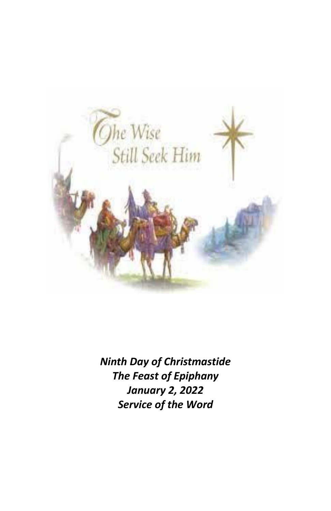

*Ninth Day of Christmastide The Feast of Epiphany January 2, 2022 Service of the Word*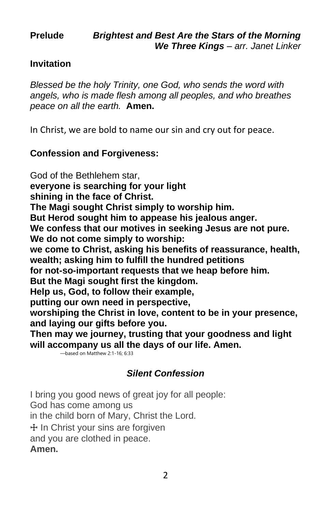#### **Invitation**

*Blessed be the holy Trinity, one God, who sends the word with angels, who is made flesh among all peoples, and who breathes peace on all the earth.* **Amen.**

In Christ, we are bold to name our sin and cry out for peace.

#### **Confession and Forgiveness:**

God of the Bethlehem star, **everyone is searching for your light shining in the face of Christ. The Magi sought Christ simply to worship him. But Herod sought him to appease his jealous anger. We confess that our motives in seeking Jesus are not pure. We do not come simply to worship: we come to Christ, asking his benefits of reassurance, health, wealth; asking him to fulfill the hundred petitions for not-so-important requests that we heap before him. But the Magi sought first the kingdom. Help us, God, to follow their example, putting our own need in perspective, worshiping the Christ in love, content to be in your presence, and laying our gifts before you. Then may we journey, trusting that your goodness and light will accompany us all the days of our life. Amen.**  —based on Matthew 2:1-16; 6:33

#### *Silent Confession*

I bring you good news of great joy for all people: God has come among us in the child born of Mary, Christ the Lord. ☩ In Christ your sins are forgiven and you are clothed in peace. **Amen.**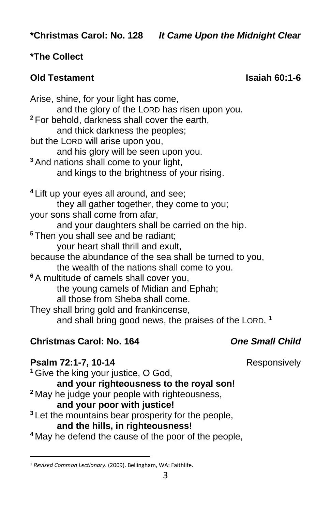### **\*The Collect**

#### **Old Testament Isaiah 60:1-6**

Arise, shine, for your light has come, and the glory of the LORD has risen upon you. **<sup>2</sup>** For behold, darkness shall cover the earth, and thick darkness the peoples; but the LORD will arise upon you, and his glory will be seen upon you. **<sup>3</sup>** And nations shall come to your light, and kings to the brightness of your rising. **<sup>4</sup>** Lift up your eyes all around, and see; they all gather together, they come to you; your sons shall come from afar, and your daughters shall be carried on the hip. **<sup>5</sup>** Then you shall see and be radiant; your heart shall thrill and exult, because the abundance of the sea shall be turned to you, the wealth of the nations shall come to you. **<sup>6</sup>** A multitude of camels shall cover you, the young camels of Midian and Ephah; all those from Sheba shall come. They shall bring gold and frankincense, and shall bring good news, the praises of the LORD.<sup>1</sup>

#### **Christmas Carol: No. 164** *One Small Child*

**Psalm 72:1-7, 10-14** Responsively

**<sup>1</sup>** Give the king your justice, O God, **and your righteousness to the royal son! <sup>2</sup>** May he judge your people with righteousness, **and your poor with justice! <sup>3</sup>** Let the mountains bear prosperity for the people, **and the hills, in righteousness! <sup>4</sup>** May he defend the cause of the poor of the people,

<sup>1</sup> *[Revised Common Lectionary](https://ref.ly/logosres/rcl?ref=YearMonthDay.1-6-2022&off=228&ctx=AMENT%0aIsaiah+60:1%E2%80%936%0a~+%0aPSALM%0aPsalm+72:1%E2%80%937)*. (2009). Bellingham, WA: Faithlife.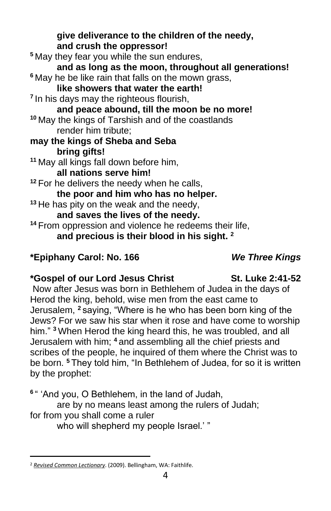**give deliverance to the children of the needy, and crush the oppressor! <sup>5</sup>** May they fear you while the sun endures, **and as long as the moon, throughout all generations! <sup>6</sup>** May he be like rain that falls on the mown grass, **like showers that water the earth! 7** In his days may the righteous flourish, **and peace abound, till the moon be no more! <sup>10</sup>** May the kings of Tarshish and of the coastlands render him tribute; **may the kings of Sheba and Seba bring gifts! <sup>11</sup>** May all kings fall down before him, **all nations serve him! <sup>12</sup>** For he delivers the needy when he calls, **the poor and him who has no helper. <sup>13</sup>** He has pity on the weak and the needy, **and saves the lives of the needy. <sup>14</sup>** From oppression and violence he redeems their life, **and precious is their blood in his sight. <sup>2</sup>**

### **\*Epiphany Carol: No. 166** *We Three Kings*

### **\*Gospel of our Lord Jesus Christ St. Luke 2:41-52**

Now after Jesus was born in Bethlehem of Judea in the days of Herod the king, behold, wise men from the east came to Jerusalem, **<sup>2</sup>** saying, "Where is he who has been born king of the Jews? For we saw his star when it rose and have come to worship him." **<sup>3</sup>** When Herod the king heard this, he was troubled, and all Jerusalem with him; **<sup>4</sup>** and assembling all the chief priests and scribes of the people, he inquired of them where the Christ was to be born. **<sup>5</sup>** They told him, "In Bethlehem of Judea, for so it is written by the prophet:

**6** " 'And you, O Bethlehem, in the land of Judah,

are by no means least among the rulers of Judah;

### for from you shall come a ruler

who will shepherd my people Israel.' "

<sup>2</sup> *[Revised Common Lectionary](https://ref.ly/logosres/rcl?ref=YearMonthDay.1-6-2022&off=256&ctx=Psalm+72:1%E2%80%937%2c+10%E2%80%9314%0a~+%0a+%0aNEW+TESTAMENT%0aEp)*. (2009). Bellingham, WA: Faithlife.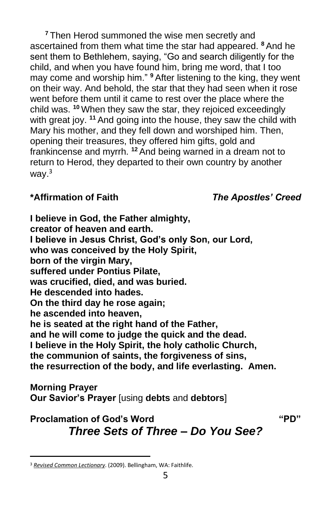**<sup>7</sup>** Then Herod summoned the wise men secretly and ascertained from them what time the star had appeared. **<sup>8</sup>** And he sent them to Bethlehem, saying, "Go and search diligently for the child, and when you have found him, bring me word, that I too may come and worship him." **<sup>9</sup>** After listening to the king, they went on their way. And behold, the star that they had seen when it rose went before them until it came to rest over the place where the child was. **<sup>10</sup>** When they saw the star, they rejoiced exceedingly with great joy. **<sup>11</sup>** And going into the house, they saw the child with Mary his mother, and they fell down and worshiped him. Then, opening their treasures, they offered him gifts, gold and frankincense and myrrh. **<sup>12</sup>** And being warned in a dream not to return to Herod, they departed to their own country by another way. $3$ 

#### **\*Affirmation of Faith** *The Apostles' Creed*

**I believe in God, the Father almighty, creator of heaven and earth. I believe in Jesus Christ, God's only Son, our Lord, who was conceived by the Holy Spirit, born of the virgin Mary, suffered under Pontius Pilate, was crucified, died, and was buried. He descended into hades. On the third day he rose again; he ascended into heaven, he is seated at the right hand of the Father, and he will come to judge the quick and the dead. I believe in the Holy Spirit, the holy catholic Church, the communion of saints, the forgiveness of sins, the resurrection of the body, and life everlasting. Amen.**

#### **Morning Prayer**

**Our Savior's Prayer** [using **debts** and **debtors**]

## **Proclamation of God's Word "PD"** *Three Sets of Three – Do You See?*

<sup>3</sup> *[Revised Common Lectionary](https://ref.ly/logosres/rcl?ref=YearMonthDay.1-6-2022&off=315&ctx=hesians+3:1%E2%80%9312%0a+%0aGOSPEL%0aMatthew+2:1%E2%80%9312%0a~+)*. (2009). Bellingham, WA: Faithlife.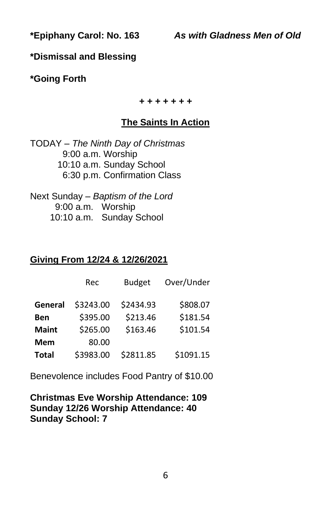**\*Dismissal and Blessing**

**\*Going Forth**

*+ + + + + + +*

#### **The Saints In Action**

TODAY – *The Ninth Day of Christmas* 9:00 a.m. Worship 10:10 a.m. Sunday School 6:30 p.m. Confirmation Class

Next Sunday – *Baptism of the Lord* 9:00 a.m. Worship 10:10 a.m. Sunday School

#### **Giving From 12/24 & 12/26/2021**

|              | Rec       | <b>Budget</b> | Over/Under |
|--------------|-----------|---------------|------------|
| General      | \$3243.00 | \$2434.93     | \$808.07   |
| Ben          | \$395.00  | \$213.46      | \$181.54   |
| <b>Maint</b> | \$265.00  | \$163.46      | \$101.54   |
| <b>Mem</b>   | 80.00     |               |            |
| <b>Total</b> | \$3983.00 | \$2811.85     | \$1091.15  |

Benevolence includes Food Pantry of \$10.00

**Christmas Eve Worship Attendance: 109 Sunday 12/26 Worship Attendance: 40 Sunday School: 7**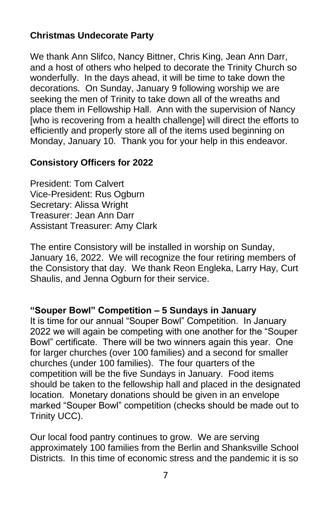#### **Christmas Undecorate Party**

We thank Ann Slifco, Nancy Bittner, Chris King, Jean Ann Darr, and a host of others who helped to decorate the Trinity Church so wonderfully. In the days ahead, it will be time to take down the decorations. On Sunday, January 9 following worship we are seeking the men of Trinity to take down all of the wreaths and place them in Fellowship Hall. Ann with the supervision of Nancy [who is recovering from a health challenge] will direct the efforts to efficiently and properly store all of the items used beginning on Monday, January 10. Thank you for your help in this endeavor.

#### **Consistory Officers for 2022**

President: Tom Calvert Vice-President: Rus Ogburn Secretary: Alissa Wright Treasurer: Jean Ann Darr Assistant Treasurer: Amy Clark

The entire Consistory will be installed in worship on Sunday, January 16, 2022. We will recognize the four retiring members of the Consistory that day. We thank Reon Engleka, Larry Hay, Curt Shaulis, and Jenna Ogburn for their service.

#### **"Souper Bowl" Competition – 5 Sundays in January**

It is time for our annual "Souper Bowl" Competition. In January 2022 we will again be competing with one another for the "Souper Bowl" certificate. There will be two winners again this year. One for larger churches (over 100 families) and a second for smaller churches (under 100 families). The four quarters of the competition will be the five Sundays in January. Food items should be taken to the fellowship hall and placed in the designated location. Monetary donations should be given in an envelope marked "Souper Bowl" competition (checks should be made out to Trinity UCC).

Our local food pantry continues to grow. We are serving approximately 100 families from the Berlin and Shanksville School Districts. In this time of economic stress and the pandemic it is so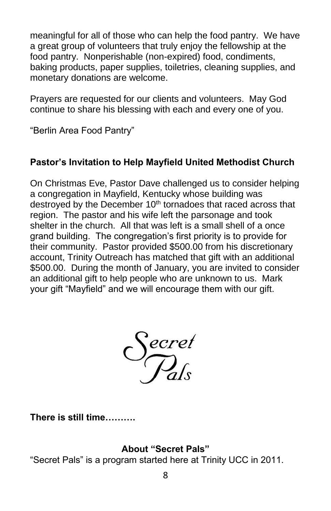meaningful for all of those who can help the food pantry. We have a great group of volunteers that truly enjoy the fellowship at the food pantry. Nonperishable (non-expired) food, condiments, baking products, paper supplies, toiletries, cleaning supplies, and monetary donations are welcome.

Prayers are requested for our clients and volunteers. May God continue to share his blessing with each and every one of you.

"Berlin Area Food Pantry"

### **Pastor's Invitation to Help Mayfield United Methodist Church**

On Christmas Eve, Pastor Dave challenged us to consider helping a congregation in Mayfield, Kentucky whose building was destroyed by the December 10<sup>th</sup> tornadoes that raced across that region. The pastor and his wife left the parsonage and took shelter in the church. All that was left is a small shell of a once grand building. The congregation's first priority is to provide for their community. Pastor provided \$500.00 from his discretionary account, Trinity Outreach has matched that gift with an additional \$500.00. During the month of January, you are invited to consider an additional gift to help people who are unknown to us. Mark your gift "Mayfield" and we will encourage them with our gift.



**There is still time……….**

#### **About "Secret Pals"**

"Secret Pals" is a program started here at Trinity UCC in 2011.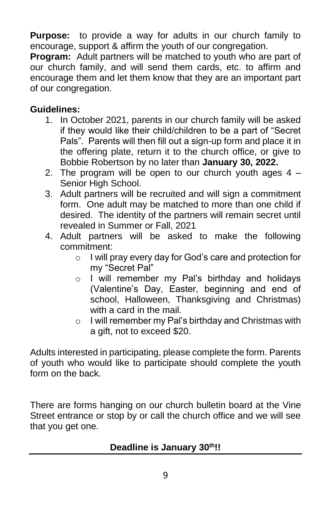**Purpose:** to provide a way for adults in our church family to encourage, support & affirm the youth of our congregation.

**Program:** Adult partners will be matched to youth who are part of our church family, and will send them cards, etc. to affirm and encourage them and let them know that they are an important part of our congregation.

#### **Guidelines:**

- 1. In October 2021, parents in our church family will be asked if they would like their child/children to be a part of "Secret Pals". Parents will then fill out a sign-up form and place it in the offering plate, return it to the church office, or give to Bobbie Robertson by no later than **January 30, 2022.**
- 2. The program will be open to our church youth ages  $4 -$ Senior High School.
- 3. Adult partners will be recruited and will sign a commitment form. One adult may be matched to more than one child if desired. The identity of the partners will remain secret until revealed in Summer or Fall, 2021
- 4. Adult partners will be asked to make the following commitment:
	- o I will pray every day for God's care and protection for my "Secret Pal"
	- o I will remember my Pal's birthday and holidays (Valentine's Day, Easter, beginning and end of school, Halloween, Thanksgiving and Christmas) with a card in the mail.
	- o I will remember my Pal's birthday and Christmas with a gift, not to exceed \$20.

Adults interested in participating, please complete the form. Parents of youth who would like to participate should complete the youth form on the back.

There are forms hanging on our church bulletin board at the Vine Street entrance or stop by or call the church office and we will see that you get one.

#### **Deadline is January 30th!!**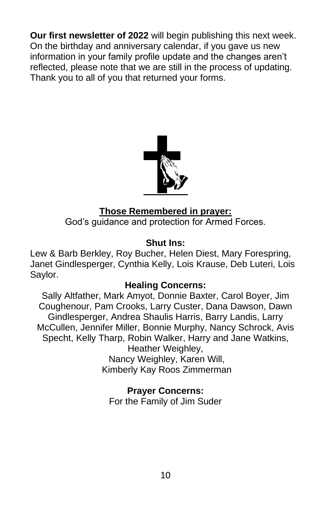**Our first newsletter of 2022** will begin publishing this next week. On the birthday and anniversary calendar, if you gave us new information in your family profile update and the changes aren't reflected, please note that we are still in the process of updating. Thank you to all of you that returned your forms.



#### **Those Remembered in prayer:**

God's guidance and protection for Armed Forces.

#### **Shut Ins:**

Lew & Barb Berkley, Roy Bucher, Helen Diest, Mary Forespring, Janet Gindlesperger, Cynthia Kelly, Lois Krause, Deb Luteri, Lois Saylor.

#### **Healing Concerns:**

Sally Altfather, Mark Amyot, Donnie Baxter, Carol Boyer, Jim Coughenour, Pam Crooks, Larry Custer, Dana Dawson, Dawn Gindlesperger, Andrea Shaulis Harris, Barry Landis, Larry McCullen, Jennifer Miller, Bonnie Murphy, Nancy Schrock, Avis Specht, Kelly Tharp, Robin Walker, Harry and Jane Watkins, Heather Weighley, Nancy Weighley, Karen Will, Kimberly Kay Roos Zimmerman

#### **Prayer Concerns:**

For the Family of Jim Suder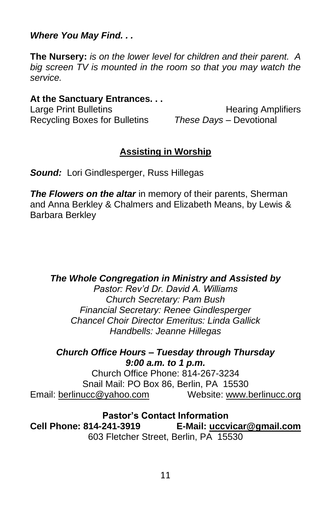*Where You May Find. . .*

**The Nursery:** *is on the lower level for children and their parent. A big screen TV is mounted in the room so that you may watch the service.*

#### **At the Sanctuary Entrances. . .**

Recycling Boxes for Bulletins *These Days –* Devotional

Large Print Bulletins **Example 20** Hearing Amplifiers

#### **Assisting in Worship**

*Sound:* Lori Gindlesperger, Russ Hillegas

*The Flowers on the altar* in memory of their parents, Sherman and Anna Berkley & Chalmers and Elizabeth Means, by Lewis & Barbara Berkley

*The Whole Congregation in Ministry and Assisted by*

*Pastor: Rev'd Dr. David A. Williams Church Secretary: Pam Bush Financial Secretary: Renee Gindlesperger Chancel Choir Director Emeritus: Linda Gallick Handbells: Jeanne Hillegas*

*Church Office Hours – Tuesday through Thursday 9:00 a.m. to 1 p.m.*

Church Office Phone: 814-267-3234 Snail Mail: PO Box 86, Berlin, PA 15530 Email: [berlinucc@yahoo.com](mailto:berlinucc@yahoo.com) Website: [www.berlinucc.org](http://www.berlinucc.org/)

**Pastor's Contact Information**<br>E-Mail: uccv E-Mail: uccv **Cell Phone: 814-241-3919 E-Mail: [uccvicar@gmail.com](mailto:uccvicar@gmail.com)** 603 Fletcher Street, Berlin, PA 15530